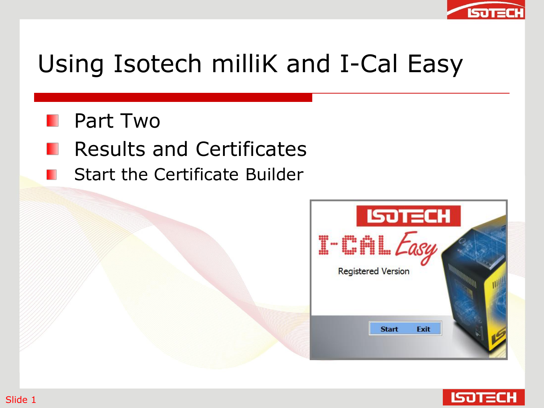

# Using Isotech milliK and I-Cal Easy

- **Part Two**
- Results and Certificates
- Start the Certificate Builder



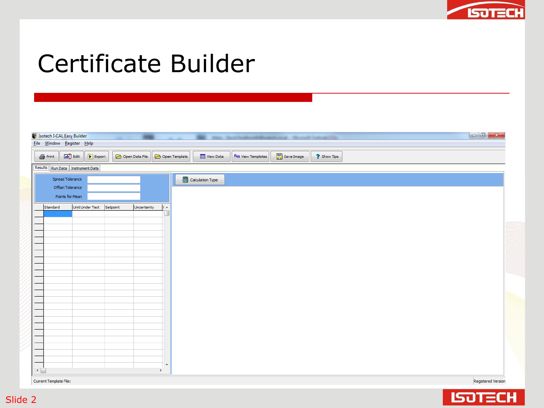

#### Certificate Builder

| $\bigoplus$ Print | ab Edit<br>$\boxed{\blacktriangleright}$ Export |          | Open Data File |        | <sup>巴</sup> 曾 View Templates<br><sup>2</sup> Show Tips<br>Open Template<br><b>Til</b> View Data |  |
|-------------------|-------------------------------------------------|----------|----------------|--------|--------------------------------------------------------------------------------------------------|--|
|                   | Results Run Data   Instrument Data              |          |                |        |                                                                                                  |  |
|                   | Spread Tolerance                                |          |                |        | Calculation Type                                                                                 |  |
| Offset Tolerance  | Points for Mean                                 |          |                |        |                                                                                                  |  |
|                   |                                                 |          |                |        |                                                                                                  |  |
| Standard          | Unit Under Test                                 | Setpoint | Uncertainty    | $\sim$ |                                                                                                  |  |
|                   |                                                 |          |                |        |                                                                                                  |  |
|                   |                                                 |          |                |        |                                                                                                  |  |
|                   |                                                 |          |                |        |                                                                                                  |  |
|                   |                                                 |          |                |        |                                                                                                  |  |
|                   |                                                 |          |                |        |                                                                                                  |  |
|                   |                                                 |          |                |        |                                                                                                  |  |
|                   |                                                 |          |                |        |                                                                                                  |  |
|                   |                                                 |          |                |        |                                                                                                  |  |
|                   |                                                 |          |                |        |                                                                                                  |  |
|                   |                                                 |          |                |        |                                                                                                  |  |
|                   |                                                 |          |                |        |                                                                                                  |  |
|                   |                                                 |          |                |        |                                                                                                  |  |
|                   |                                                 |          |                |        |                                                                                                  |  |
|                   |                                                 |          |                |        |                                                                                                  |  |
|                   |                                                 |          |                |        |                                                                                                  |  |
|                   |                                                 |          |                |        |                                                                                                  |  |

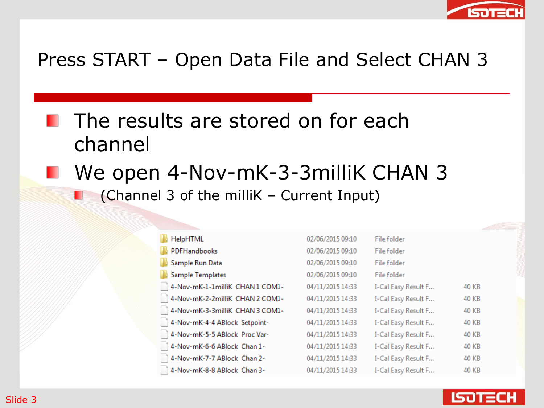

#### Press START – Open Data File and Select CHAN 3

- **The results are stored on for each** channel
- We open 4-Nov-mK-3-3milliK CHAN 3 (Channel 3 of the milliK – Current Input)

| HelpHTML                         | 02/06/2015 09:10 | File folder         |              |
|----------------------------------|------------------|---------------------|--------------|
| PDFHandbooks                     | 02/06/2015 09:10 | File folder         |              |
| Sample Run Data                  | 02/06/2015 09:10 | File folder         |              |
| Sample Templates                 | 02/06/2015 09:10 | File folder         |              |
| 4-Nov-mK-1-1milliK CHAN1 COM1-   | 04/11/2015 14:33 | I-Cal Easy Result F | 40 KB        |
| 14-Nov-mK-2-2milliK CHAN 2 COM1- | 04/11/2015 14:33 | I-Cal Easy Result F | 40 KB        |
| 4-Nov-mK-3-3milliK CHAN 3 COM1-  | 04/11/2015 14:33 | I-Cal Easy Result F | 40 KB        |
| 4-Nov-mK-4-4 ABlock Setpoint-    | 04/11/2015 14:33 | I-Cal Easy Result F | 40 KB        |
| 4-Nov-mK-5-5 ABlock Proc Var-    | 04/11/2015 14:33 | I-Cal Easy Result F | 40 KB        |
| 4-Nov-mK-6-6 ABlock Chan 1-      | 04/11/2015 14:33 | I-Cal Easy Result F | <b>40 KB</b> |
| 4-Nov-mK-7-7 ABlock Chan 2-      | 04/11/2015 14:33 | I-Cal Easy Result F | 40 KB        |
| 4-Nov-mK-8-8 ABlock Chan 3-      | 04/11/2015 14:33 | I-Cal Easy Result F | 40 KB        |

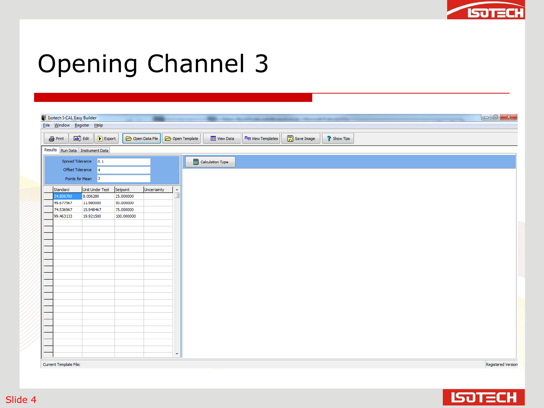

# Opening Channel 3

| Isotech I-CAL Easy Builder<br>Eile Window Register Help |                                                   |                       |                |                                              |                       |                               |                                                   | the control of the control of the control of the control of the control of the control of the control of the control of the control of the control of the control of the control of the control of the control of the control | $\begin{array}{ c c c c c }\hline \multicolumn{1}{ c }{\mathbf{C}} & \multicolumn{1}{ c }{\mathbf{X}} \\\hline \end{array}$ |
|---------------------------------------------------------|---------------------------------------------------|-----------------------|----------------|----------------------------------------------|-----------------------|-------------------------------|---------------------------------------------------|-------------------------------------------------------------------------------------------------------------------------------------------------------------------------------------------------------------------------------|-----------------------------------------------------------------------------------------------------------------------------|
|                                                         |                                                   |                       |                |                                              |                       |                               |                                                   |                                                                                                                                                                                                                               |                                                                                                                             |
| $\bigoplus$ Print                                       | abil Edit<br>$\boxed{\blacktriangleright}$ Export |                       | Open Data File | Open Template                                | <b>Till</b> View Data | <sup>巴</sup> 曾 View Templates | $\begin{bmatrix} 1 \\ 2 \end{bmatrix}$ Save Image | <sup>2</sup> Show Tips                                                                                                                                                                                                        |                                                                                                                             |
|                                                         | Results Run Data   Instrument Data                |                       |                |                                              |                       |                               |                                                   |                                                                                                                                                                                                                               |                                                                                                                             |
|                                                         | Spread Tolerance 0.1                              |                       |                |                                              | Calculation Type      |                               |                                                   |                                                                                                                                                                                                                               |                                                                                                                             |
|                                                         | Offset Tolerance 4                                |                       |                |                                              |                       |                               |                                                   |                                                                                                                                                                                                                               |                                                                                                                             |
|                                                         | Points for Mean 3                                 |                       |                |                                              |                       |                               |                                                   |                                                                                                                                                                                                                               |                                                                                                                             |
|                                                         | Unit Under Test                                   |                       |                |                                              |                       |                               |                                                   |                                                                                                                                                                                                                               |                                                                                                                             |
| Standard<br>24.806700                                   | 8.006280                                          | Setpoint<br>25.000000 | Uncertainty    | $\blacktriangle$<br>$\overline{\phantom{a}}$ |                       |                               |                                                   |                                                                                                                                                                                                                               |                                                                                                                             |
| 49.677567                                               | 11.980000                                         | 50.000000             |                |                                              |                       |                               |                                                   |                                                                                                                                                                                                                               |                                                                                                                             |
| 74.536967                                               | 15.948467                                         | 75.000000             |                |                                              |                       |                               |                                                   |                                                                                                                                                                                                                               |                                                                                                                             |
| 99.463133                                               | 19.921500                                         | 100.000000            |                |                                              |                       |                               |                                                   |                                                                                                                                                                                                                               |                                                                                                                             |
|                                                         |                                                   |                       |                |                                              |                       |                               |                                                   |                                                                                                                                                                                                                               |                                                                                                                             |
|                                                         |                                                   |                       |                |                                              |                       |                               |                                                   |                                                                                                                                                                                                                               |                                                                                                                             |
|                                                         |                                                   |                       |                |                                              |                       |                               |                                                   |                                                                                                                                                                                                                               |                                                                                                                             |
|                                                         |                                                   |                       |                |                                              |                       |                               |                                                   |                                                                                                                                                                                                                               |                                                                                                                             |
|                                                         |                                                   |                       |                |                                              |                       |                               |                                                   |                                                                                                                                                                                                                               |                                                                                                                             |
|                                                         |                                                   |                       |                |                                              |                       |                               |                                                   |                                                                                                                                                                                                                               |                                                                                                                             |
|                                                         |                                                   |                       |                |                                              |                       |                               |                                                   |                                                                                                                                                                                                                               |                                                                                                                             |
|                                                         |                                                   |                       |                |                                              |                       |                               |                                                   |                                                                                                                                                                                                                               |                                                                                                                             |
|                                                         |                                                   |                       |                |                                              |                       |                               |                                                   |                                                                                                                                                                                                                               |                                                                                                                             |
|                                                         |                                                   |                       |                |                                              |                       |                               |                                                   |                                                                                                                                                                                                                               |                                                                                                                             |
|                                                         |                                                   |                       |                |                                              |                       |                               |                                                   |                                                                                                                                                                                                                               |                                                                                                                             |
|                                                         |                                                   |                       |                |                                              |                       |                               |                                                   |                                                                                                                                                                                                                               |                                                                                                                             |
|                                                         |                                                   |                       |                |                                              |                       |                               |                                                   |                                                                                                                                                                                                                               |                                                                                                                             |
|                                                         |                                                   |                       |                |                                              |                       |                               |                                                   |                                                                                                                                                                                                                               |                                                                                                                             |
|                                                         |                                                   |                       |                |                                              |                       |                               |                                                   |                                                                                                                                                                                                                               |                                                                                                                             |
|                                                         |                                                   |                       |                |                                              |                       |                               |                                                   |                                                                                                                                                                                                                               |                                                                                                                             |
|                                                         |                                                   |                       |                | $\overline{\phantom{a}}$                     |                       |                               |                                                   |                                                                                                                                                                                                                               |                                                                                                                             |
|                                                         |                                                   |                       |                |                                              |                       |                               |                                                   |                                                                                                                                                                                                                               |                                                                                                                             |

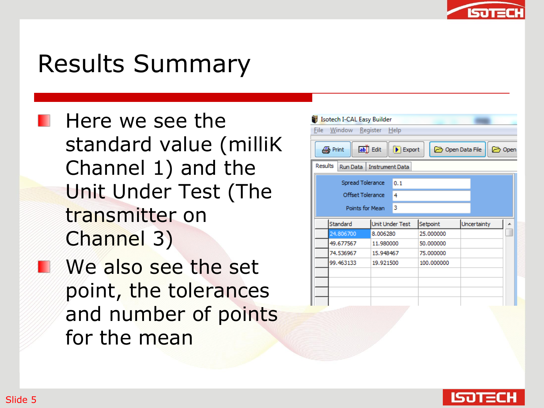

#### Results Summary

- **Here** we see the standard value (milliK Channel 1) and the Unit Under Test (The transmitter on Channel 3)
- We also see the set point, the tolerances and number of points for the mean

| Isotech I-CAL Easy Builder |                                                      |            |                |             |
|----------------------------|------------------------------------------------------|------------|----------------|-------------|
| Window<br>File             | Register<br>Help                                     |            |                |             |
| <b>A</b> Print             | ab <sup>j</sup> Edit<br>$\blacktriangleright$ Export |            | Open Data File | http://www. |
| Results<br>Run Data        | <b>Instrument Data</b>                               |            |                |             |
|                            | Spread Tolerance<br>0.1                              |            |                |             |
|                            | Offset Tolerance<br>4                                |            |                |             |
|                            | 3<br>Points for Mean                                 |            |                |             |
| Standard                   | Unit Under Test                                      | Setpoint   | Uncertainty    |             |
| 24.806700                  | 8.006280                                             | 25.000000  |                |             |
| 49.677567                  | 11.980000                                            | 50.000000  |                |             |
| 74.536967                  | 15.948467                                            | 75.000000  |                |             |
| 99.463133                  | 19.921500                                            | 100.000000 |                |             |
|                            |                                                      |            |                |             |
|                            |                                                      |            |                |             |
|                            |                                                      |            |                |             |
|                            |                                                      |            |                |             |

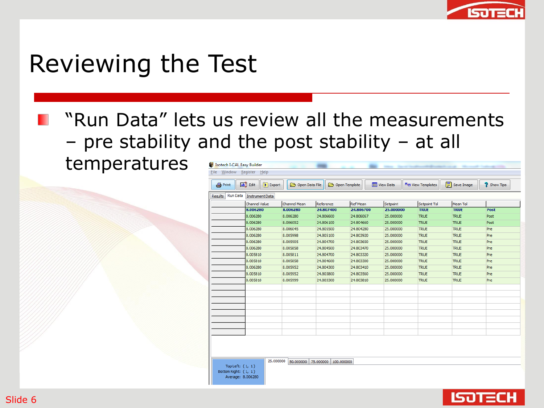

#### Reviewing the Test

#### "Run Data" lets us review all the measurements – pre stability and the post stability – at all

temperatures

| <b>4</b> Print             | ab Edit<br>$\triangleright$ Export | Open Data File |           | Open Template   | <b>Till</b> View Data | <sup>巴</sup> 西 View Templates | <b>日</b> Save Image | <sup>2</sup> Show Tips |
|----------------------------|------------------------------------|----------------|-----------|-----------------|-----------------------|-------------------------------|---------------------|------------------------|
| <b>Run Data</b><br>Results | <b>Instrument Data</b>             |                |           |                 |                       |                               |                     |                        |
|                            | Channel Value                      | Channel Mean   | Reference | <b>Ref Mean</b> | Setpoint              | Setpoint Tol                  | Mean Tol            |                        |
|                            | 8.006280                           | 8.006280       | 24.807400 | 24.806700       | 25.000000             | <b>TRUE</b>                   | <b>TRUE</b>         | Post                   |
|                            | 8.006280                           | 8.006280       | 24.806600 | 24.806067       | 25.000000             | <b>TRUE</b>                   | <b>TRUE</b>         | Post                   |
|                            | 8.006280                           | 8.006092       | 24.806100 | 24.804660       | 25.000000             | <b>TRUE</b>                   | <b>TRUE</b>         | Post                   |
|                            | 8.006280                           | 8.006045       | 24.805500 | 24.804280       | 25.000000             | <b>TRUE</b>                   | <b>TRUE</b>         | Pre<br>Pre<br>Pre      |
|                            | 8.006280                           | 8.005998       | 24.805100 | 24,803920       | 25.000000             | <b>TRUE</b>                   | <b>TRUE</b>         |                        |
|                            | 8.006280                           | 8.005905       | 24.804700 | 24.803650       | 25.000000             | <b>TRUE</b>                   | <b>TRUE</b>         |                        |
|                            | 8.006280                           | 8.005858       | 24.804500 | 24,803470       | 25.000000             | <b>TRUE</b>                   | <b>TRUE</b>         | Pre                    |
|                            | 8.005810                           | 8.005811       | 24.804700 | 24.803320       | 25.000000             | <b>TRUE</b>                   | <b>TRUE</b>         | Pre                    |
|                            | 8.005810                           | 8.005858       | 24.804600 | 24.803300       | 25.000000             | <b>TRUE</b>                   | <b>TRUE</b>         | Pre                    |
|                            | 8.006280                           | 8.005952       | 24.804300 | 24.803410       | 25.000000             | <b>TRUE</b>                   | <b>TRUE</b>         | Pre                    |
|                            | 8.005810                           | 8.005952       | 24.803800 | 24.803560       | 25.000000             | <b>TRUE</b>                   | <b>TRUE</b>         | Pre                    |
|                            | 8.005810                           | 8.005999       | 24.803300 | 24.803810       | 25.000000             | <b>TRUE</b>                   | <b>TRUE</b>         | Pre                    |
|                            |                                    |                |           |                 |                       |                               |                     |                        |
|                            |                                    |                |           |                 |                       |                               |                     |                        |
|                            |                                    |                |           |                 |                       |                               |                     |                        |
|                            |                                    |                |           |                 |                       |                               |                     |                        |
|                            |                                    |                |           |                 |                       |                               |                     |                        |
|                            |                                    |                |           |                 |                       |                               |                     |                        |
|                            |                                    |                |           |                 |                       |                               |                     |                        |
|                            |                                    |                |           |                 |                       |                               |                     |                        |

Top Left:  $(1, 1)$ ttom Right:  $(1, 1)$ Average: 8.006280 25.000000 50.000000 75.000000 100.000000

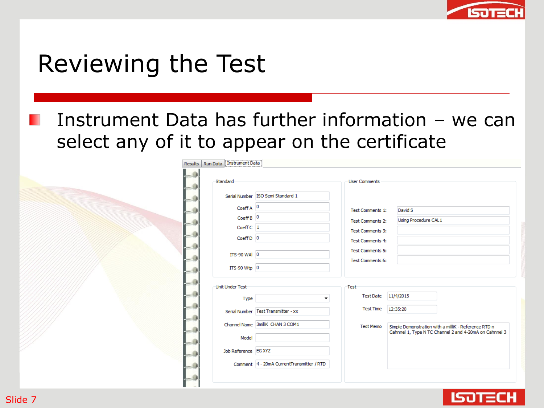

#### Reviewing the Test

Instrument Data has further information – we can select any of it to appear on the certificate

|      | Results   Run Data   Instrument Data |                                           |                         |                                                                                                                |
|------|--------------------------------------|-------------------------------------------|-------------------------|----------------------------------------------------------------------------------------------------------------|
|      | Standard                             |                                           | <b>User Comments</b>    |                                                                                                                |
|      |                                      | Serial Number ISO Semi Standard 1         |                         |                                                                                                                |
|      | $CoeffA$ $^0$                        |                                           | Test Comments 1:        | David S                                                                                                        |
|      | $Coeff B$ $0$                        |                                           | <b>Test Comments 2:</b> | Using Procedure CAL1                                                                                           |
|      | Coeff C 1                            |                                           | Test Comments 3:        |                                                                                                                |
|      | $CoeffD$ 0                           |                                           | <b>Test Comments 4:</b> |                                                                                                                |
|      |                                      |                                           | <b>Test Comments 5:</b> |                                                                                                                |
| - 38 | ITS-90 WAI 0                         |                                           | <b>Test Comments 6:</b> |                                                                                                                |
| - 3  | $ITS-90 Wtp 0$                       |                                           |                         |                                                                                                                |
|      | Unit Under Test                      |                                           | -Test-                  |                                                                                                                |
|      | Type                                 | ۰                                         | Test Date 11/4/2015     |                                                                                                                |
|      |                                      | Serial Number   Test Transmitter - xx     | <b>Test Time</b>        | 12:35:20                                                                                                       |
|      |                                      | Channel Name 3milliK CHAN 3 COM1          |                         |                                                                                                                |
|      |                                      |                                           | <b>Test Memo</b>        | Simple Demonstration with a milliK - Reference RTD n<br>Cahnnel 1, Type N TC Channel 2 and 4-20mA on Cahnnel 3 |
|      | Model                                |                                           |                         |                                                                                                                |
|      | Job Reference EG XYZ                 |                                           |                         |                                                                                                                |
|      |                                      | Comment 4 - 20mA CurrentTransmitter / RTD |                         |                                                                                                                |
|      |                                      |                                           |                         |                                                                                                                |
|      |                                      |                                           |                         |                                                                                                                |

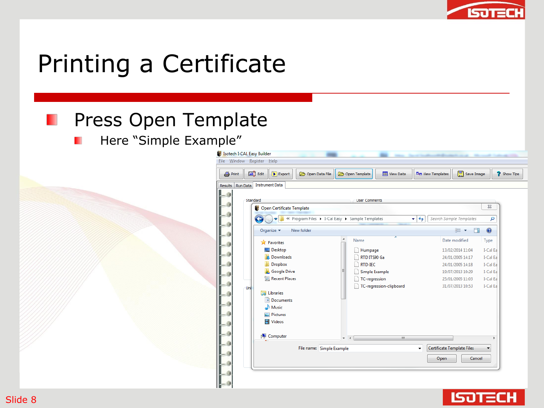

## Printing a Certificate

#### **Press Open Template**

Here "Simple Example"п

|          | ab <sup>1</sup> Edit<br>$\blacktriangleright$ Export | Open Data File            | Open Template                                   | <b>TI View Data</b>             | <sup>巴</sup> 西 View Templates | <b>B</b> Save Image                  | <sup>2</sup> Show Tips |
|----------|------------------------------------------------------|---------------------------|-------------------------------------------------|---------------------------------|-------------------------------|--------------------------------------|------------------------|
| Run Data | <b>Instrument Data</b>                               |                           |                                                 |                                 |                               |                                      |                        |
|          |                                                      |                           |                                                 |                                 |                               |                                      |                        |
| Standard |                                                      |                           |                                                 | <b>User Comments</b>            |                               |                                      | $\Sigma$               |
|          | Open Certificate Template                            |                           |                                                 |                                 |                               |                                      |                        |
|          |                                                      |                           | « Program Files > I-Cal Easy > Sample Templates |                                 | $+$<br>٠                      | Search Sample Templates              | م                      |
|          | New folder<br>Organize $\blacktriangledown$          |                           |                                                 |                                 |                               | 888 ▼<br>$\Box$                      | $\circledcirc$         |
|          |                                                      |                           | A                                               |                                 |                               |                                      |                        |
|          | <b>X</b> Favorites                                   |                           | Name                                            |                                 |                               | Date modified                        | Type                   |
|          | Desktop                                              |                           |                                                 | Humpage                         |                               | 13/02/2014 11:04                     | I-Cal Ea               |
|          | Downloads                                            |                           |                                                 | RTD ITS90 Ga                    |                               | 24/01/2005 14:17                     | I-Cal Ea               |
|          | Dropbox<br><b>Google Drive</b>                       |                           | Ξ                                               | <b>RTD-IEC</b>                  |                               | 24/01/2005 14:18<br>19/07/2013 10:29 | I-Cal Ea<br>I-Cal Ea   |
|          | Recent Places                                        |                           |                                                 | Simple Example<br>TC-regression |                               | 25/01/2005 11:03                     | I-Cal Ea               |
| Uni      |                                                      |                           |                                                 | TC-regression-clipboard         |                               | 31/07/2013 10:53                     | I-Cal Ea               |
|          | Libraries<br>Ē.                                      |                           |                                                 |                                 |                               |                                      |                        |
|          | Documents                                            |                           |                                                 |                                 |                               |                                      |                        |
|          | Music                                                |                           |                                                 |                                 |                               |                                      |                        |
|          | Pictures                                             |                           |                                                 |                                 |                               |                                      |                        |
|          | Videos                                               |                           |                                                 |                                 |                               |                                      |                        |
|          | Computer                                             |                           | $-1$                                            | m.                              |                               |                                      | þ                      |
|          |                                                      |                           |                                                 |                                 |                               |                                      |                        |
|          |                                                      | File name: Simple Example |                                                 |                                 | Certificate Template Files    |                                      |                        |
|          |                                                      |                           |                                                 |                                 | Open                          | Cancel                               |                        |
|          |                                                      |                           |                                                 |                                 |                               |                                      |                        |

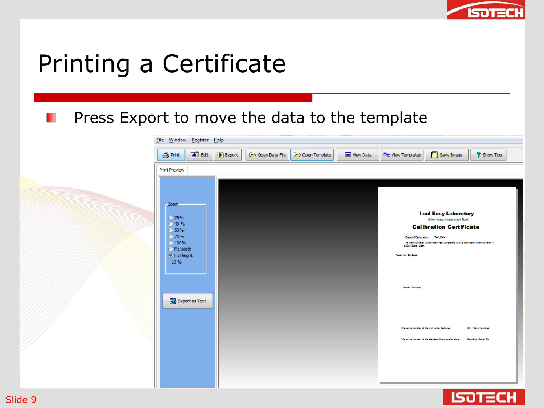

## Printing a Certificate

#### Press Export to move the data to the templateH

| Save Image<br>ab Edit<br>Open Template<br><b>Till</b> View Data<br><sup>巴</sup> 西 View Templates<br>Open Data File<br>$\bigcirc$ Print<br>$\triangleright$ Export<br><b>Print Preview</b><br>-Zoom<br><b>I-cal Easy Laboratory</b><br>◯ 25%<br>Kelvin House, Measurement Road<br>◎ 40 %<br><b>Calibration Certificate</b><br>◯ 50%<br>◎ 75%<br>Date of Calibration Test_Date<br>◯ 100%<br>The thermometer under test was compared with a Standard Thermometer in<br>a Dry Block Bath.<br>○ Fit Width<br>O Fit Height<br>Pasts form Cip Soard<br>10 %<br>Result Summary<br>Export as Text | File Window Register Help |  |                        |
|------------------------------------------------------------------------------------------------------------------------------------------------------------------------------------------------------------------------------------------------------------------------------------------------------------------------------------------------------------------------------------------------------------------------------------------------------------------------------------------------------------------------------------------------------------------------------------------|---------------------------|--|------------------------|
|                                                                                                                                                                                                                                                                                                                                                                                                                                                                                                                                                                                          |                           |  | <sup>2</sup> Show Tips |
|                                                                                                                                                                                                                                                                                                                                                                                                                                                                                                                                                                                          |                           |  |                        |
|                                                                                                                                                                                                                                                                                                                                                                                                                                                                                                                                                                                          |                           |  |                        |
|                                                                                                                                                                                                                                                                                                                                                                                                                                                                                                                                                                                          |                           |  |                        |
| The senal number of the unit under between<br><b>UUI Senal Number</b><br>The senal number of the standard them creater was:<br><b>Shindard Senat No</b>                                                                                                                                                                                                                                                                                                                                                                                                                                  |                           |  |                        |



Slide 9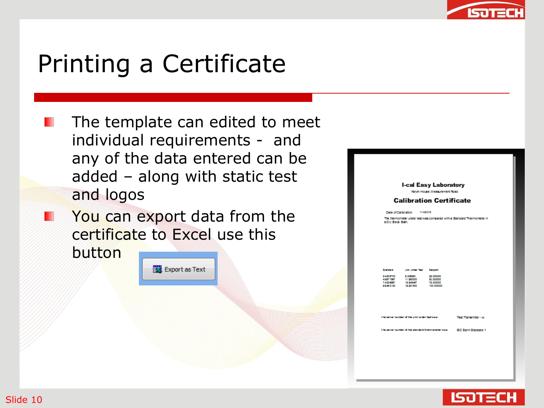

#### Printing a Certificate

- The template can edited to meet Ш individual requirements - and any of the data entered can be added – along with static test and logos
- **Nou can export data from the** certificate to Excel use this

button





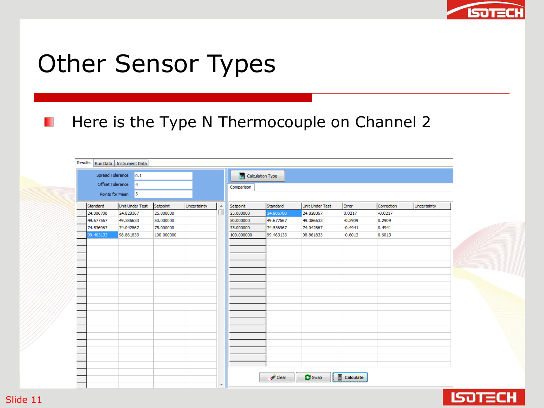

## Other Sensor Types

#### Here is the Type N Thermocouple on Channel 2

|           | Spread Tolerance<br>$\vert$ 0.1 |            |             |                | Calculation Type |           |                 |           |            |             |  |
|-----------|---------------------------------|------------|-------------|----------------|------------------|-----------|-----------------|-----------|------------|-------------|--|
|           | Offset Tolerance<br>14          |            |             |                | Comparison       |           |                 |           |            |             |  |
|           | Points for Mean 3               |            |             |                |                  |           |                 |           |            |             |  |
| Standard  | Unit Under Test                 | Setpoint   | Uncertainty | $\overline{a}$ | Setpoint         | Standard  | Unit Under Test | Error     | Correction | Uncertainty |  |
| 24.806700 | 24.828367                       | 25.000000  |             | ū              | 25.000000        | 24.806700 | 24.828367       | 0.0217    | $-0.0217$  |             |  |
| 49.677567 | 49.386633                       | 50.000000  |             |                | 50.000000        | 49.677567 | 49.386633       | $-0.2909$ | 0.2909     |             |  |
| 74.536967 | 74.042867                       | 75,000000  |             |                | 75,000000        | 74.536967 | 74.042867       | $-0.4941$ | 0.4941     |             |  |
| 99.463133 | 98.861833                       | 100.000000 |             |                | 100.000000       | 99.463133 | 98.861833       | $-0.6013$ | 0.6013     |             |  |
|           |                                 |            |             |                |                  |           |                 |           |            |             |  |
|           |                                 |            |             |                |                  |           |                 |           |            |             |  |
|           |                                 |            |             |                |                  |           |                 |           |            |             |  |
|           |                                 |            |             |                |                  |           |                 |           |            |             |  |
|           |                                 |            |             |                |                  |           |                 |           |            |             |  |
|           |                                 |            |             |                |                  |           |                 |           |            |             |  |
|           |                                 |            |             |                |                  |           |                 |           |            |             |  |
|           |                                 |            |             |                |                  |           |                 |           |            |             |  |
|           |                                 |            |             |                |                  |           |                 |           |            |             |  |
|           |                                 |            |             |                |                  |           |                 |           |            |             |  |
|           |                                 |            |             |                |                  |           |                 |           |            |             |  |
|           |                                 |            |             |                |                  |           |                 |           |            |             |  |
|           |                                 |            |             |                |                  |           |                 |           |            |             |  |
|           |                                 |            |             |                |                  |           |                 |           |            |             |  |
|           |                                 |            |             |                |                  |           |                 |           |            |             |  |
|           |                                 |            |             |                |                  |           |                 |           |            |             |  |
|           |                                 |            |             |                |                  |           |                 |           |            |             |  |
|           |                                 |            |             |                |                  |           |                 |           |            |             |  |
|           |                                 |            |             |                |                  |           |                 |           |            |             |  |



Ш